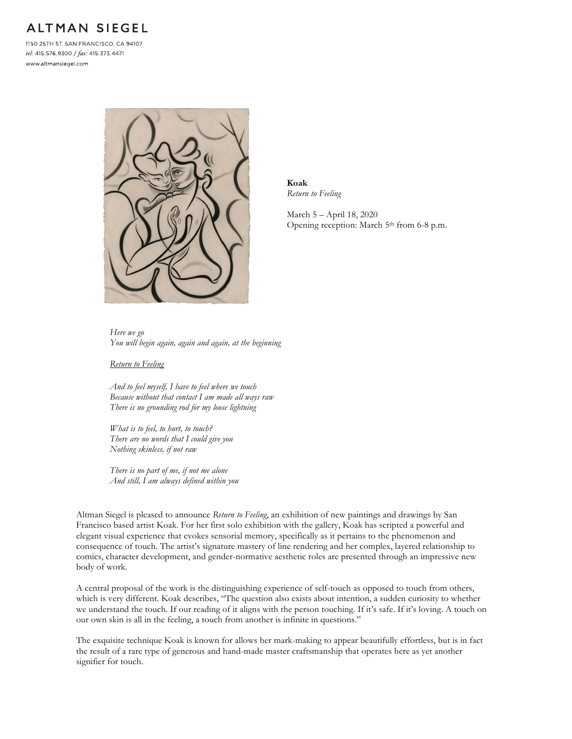## **ALTMAN SIEGEL**

1150 25TH ST. SAN FRANCISCO, CA 94107 tel: 415.576.9300 / fax: 415.373.4471 www.altmansiegel.com



**Koak** *Return to Feeling*

March 5 – April 18, 2020 Opening reception: March 5<sup>th</sup> from 6-8 p.m.

*Here we go You will begin again, again and again, at the beginning*

*Return to Feeling*

*And to feel myself, I have to feel where we touch Because without that contact I am made all ways raw There is no grounding rod for my loose lightning*

*What is to feel, to hurt, to touch? There are no words that I could give you Nothing skinless, if not raw*

*There is no part of me, if not me alone And still, I am always defined within you*

Altman Siegel is pleased to announce *Return to Feeling*, an exhibition of new paintings and drawings by San Francisco based artist Koak. For her first solo exhibition with the gallery, Koak has scripted a powerful and elegant visual experience that evokes sensorial memory, specifically as it pertains to the phenomenon and consequence of touch. The artist's signature mastery of line rendering and her complex, layered relationship to comics, character development, and gender-normative aesthetic roles are presented through an impressive new body of work.

A central proposal of the work is the distinguishing experience of self-touch as opposed to touch from others, which is very different. Koak describes, "The question also exists about intention, a sudden curiosity to whether we understand the touch. If our reading of it aligns with the person touching. If it's safe. If it's loving. A touch on our own skin is all in the feeling, a touch from another is infinite in questions."

The exquisite technique Koak is known for allows her mark-making to appear beautifully effortless, but is in fact the result of a rare type of generous and hand-made master craftsmanship that operates here as yet another signifier for touch.